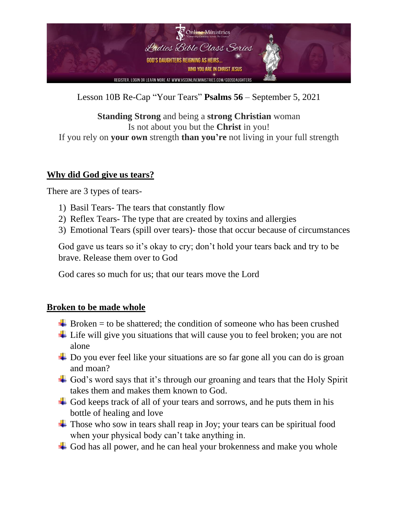

Lesson 10B Re-Cap "Your Tears" **Psalms 56** – September 5, 2021

**Standing Strong** and being a **strong Christian** woman Is not about you but the **Christ** in you! If you rely on **your own** strength **than you're** not living in your full strength

## **Why did God give us tears?**

There are 3 types of tears-

- 1) Basil Tears- The tears that constantly flow
- 2) Reflex Tears- The type that are created by toxins and allergies
- 3) Emotional Tears (spill over tears)- those that occur because of circumstances

God gave us tears so it's okay to cry; don't hold your tears back and try to be brave. Release them over to God

God cares so much for us; that our tears move the Lord

## **Broken to be made whole**

- $\overline{\phantom{a}}$  Broken = to be shattered; the condition of someone who has been crushed
- $\overline{\phantom{a}}$  Life will give you situations that will cause you to feel broken; you are not alone
- **↓** Do you ever feel like your situations are so far gone all you can do is groan and moan?
- $\overline{\phantom{a}}$  God's word says that it's through our groaning and tears that the Holy Spirit takes them and makes them known to God.
- $\overline{\phantom{a}}$  God keeps track of all of your tears and sorrows, and he puts them in his bottle of healing and love
- $\overline{\text{#}}$  Those who sow in tears shall reap in Joy; your tears can be spiritual food when your physical body can't take anything in.
- $\pm$  God has all power, and he can heal your brokenness and make you whole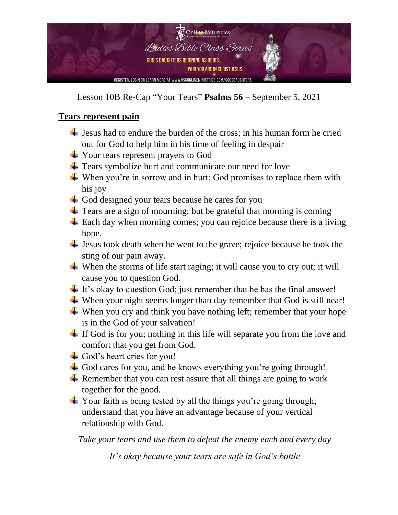

Lesson 10B Re-Cap "Your Tears" **Psalms 56** – September 5, 2021

## **Tears represent pain**

- $\frac{1}{\sqrt{1}}$  Jesus had to endure the burden of the cross; in his human form he cried out for God to help him in his time of feeling in despair
- $\overline{\phantom{a}}$  Your tears represent prayers to God
- $\overline{\phantom{a}}$  Tears symbolize hurt and communicate our need for love
- $\downarrow$  When you're in sorrow and in hurt; God promises to replace them with his joy
- $\overline{\phantom{a}}$  God designed your tears because he cares for you
- $\pm$  Tears are a sign of mourning; but be grateful that morning is coming
- $\pm$  Each day when morning comes; you can rejoice because there is a living hope.
- $\overline{\phantom{a}}$  Jesus took death when he went to the grave; rejoice because he took the sting of our pain away.
- When the storms of life start raging; it will cause you to cry out; it will cause you to question God.
- $\pm$  It's okay to question God; just remember that he has the final answer!
- $\overline{\mathbf{u}}$  When your night seems longer than day remember that God is still near!
- When you cry and think you have nothing left; remember that your hope is in the God of your salvation!
- $\overline{\phantom{a}}$  If God is for you; nothing in this life will separate you from the love and comfort that you get from God.
- $\overline{\phantom{a}}$  God's heart cries for you!
- $\overline{\phantom{a}}$  God cares for you, and he knows everything you're going through!
- Remember that you can rest assure that all things are going to work together for the good.
- $\overline{\phantom{a}}$  Your faith is being tested by all the things you're going through; understand that you have an advantage because of your vertical relationship with God.

*Take your tears and use them to defeat the enemy each and every day*

*It's okay because your tears are safe in God's bottle*